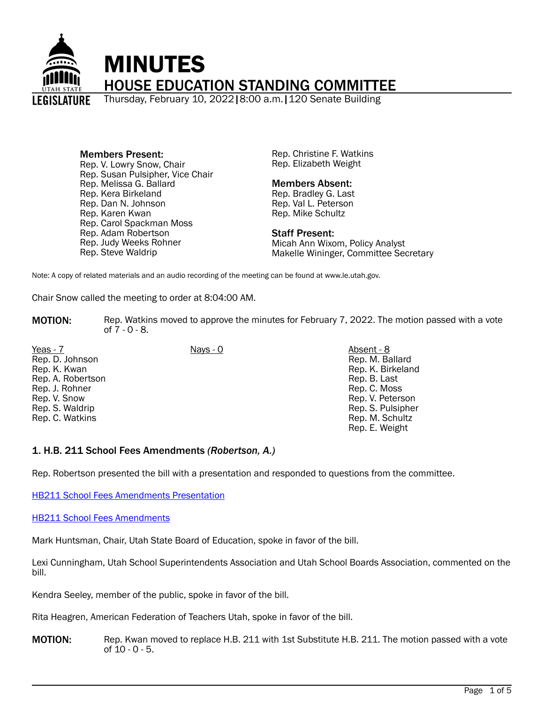

#### Members Present: Rep. V. Lowry Snow, Chair Rep. Susan Pulsipher, Vice Chair Rep. Melissa G. Ballard Rep. Kera Birkeland Rep. Dan N. Johnson Rep. Karen Kwan Rep. Carol Spackman Moss Rep. Adam Robertson Rep. Judy Weeks Rohner Rep. Steve Waldrip

Rep. Christine F. Watkins Rep. Elizabeth Weight

# Members Absent:

Rep. Bradley G. Last Rep. Val L. Peterson Rep. Mike Schultz

### Staff Present:

Micah Ann Wixom, Policy Analyst Makelle Wininger, Committee Secretary

Note: A copy of related materials and an audio recording of the meeting can be found at www.le.utah.gov.

Chair Snow called the meeting to order at 8:04:00 AM.

- **MOTION:** Rep. Watkins moved to approve the minutes for February 7, 2022. The motion passed with a vote of 7 - 0 - 8.
- Yeas 7 Nays 0 Absent 8 Rep. D. Johnson Rep. K. Kwan Rep. A. Robertson Rep. J. Rohner Rep. V. Snow Rep. S. Waldrip Rep. C. Watkins

Rep. M. Ballard Rep. K. Birkeland Rep. B. Last Rep. C. Moss Rep. V. Peterson Rep. S. Pulsipher

> Rep. M. Schultz Rep. E. Weight

# 1. H.B. 211 School Fees Amendments *(Robertson, A.)*

Rep. Robertson presented the bill with a presentation and responded to questions from the committee.

[HB211 School Fees Amendments Presentation](https://le.utah.gov/interim/2022/pdf/00001669.pdf)

[HB211 School Fees Amendments](https://le.utah.gov/interim/2022/other/00001668.png)

Mark Huntsman, Chair, Utah State Board of Education, spoke in favor of the bill.

Lexi Cunningham, Utah School Superintendents Association and Utah School Boards Association, commented on the bill.

Kendra Seeley, member of the public, spoke in favor of the bill.

Rita Heagren, American Federation of Teachers Utah, spoke in favor of the bill.

**MOTION:** Rep. Kwan moved to replace H.B. 211 with 1st Substitute H.B. 211. The motion passed with a vote of 10 - 0 - 5.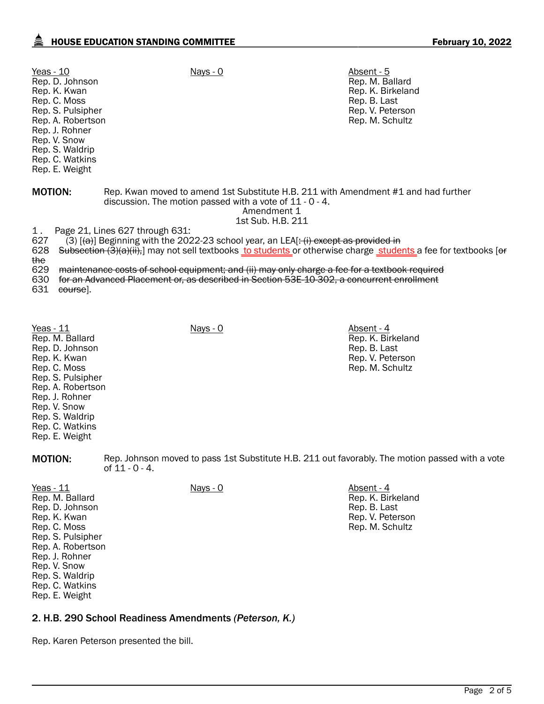| Yeas - 10<br>Rep. D. Johnson<br>Rep. K. Kwan<br>Rep. C. Moss<br>Rep. S. Pulsipher<br>Rep. A. Robertson<br>Rep. J. Rohner<br>Rep. V. Snow<br>Rep. S. Waldrip<br>Rep. C. Watkins<br>Rep. E. Weight | Nays - 0                                                                                                                                                                                                                                                                                                                                                                                                                                            | Absent - 5<br>Rep. M. Ballard<br>Rep. K. Birkeland<br>Rep. B. Last<br>Rep. V. Peterson<br>Rep. M. Schultz |  |
|--------------------------------------------------------------------------------------------------------------------------------------------------------------------------------------------------|-----------------------------------------------------------------------------------------------------------------------------------------------------------------------------------------------------------------------------------------------------------------------------------------------------------------------------------------------------------------------------------------------------------------------------------------------------|-----------------------------------------------------------------------------------------------------------|--|
| <b>MOTION:</b>                                                                                                                                                                                   | discussion. The motion passed with a vote of $11 - 0 - 4$ .<br>Amendment 1<br>1st Sub. H.B. 211                                                                                                                                                                                                                                                                                                                                                     | Rep. Kwan moved to amend 1st Substitute H.B. 211 with Amendment #1 and had further                        |  |
| 1.<br>627<br>628<br>the<br>629<br>630<br>631<br>course].                                                                                                                                         | Page 21, Lines 627 through 631:<br>(3) $[\{\text{a}\}]$ Beginning with the 2022-23 school year, an LEA[: (i) except as provided in<br>Subsection (3)(a)(ii),] may not sell textbooks to students or otherwise charge students a fee for textbooks [or<br>maintenance costs of school equipment; and (ii) may only charge a fee for a textbook required<br>for an Advanced Placement or, as described in Section 53E-10-302, a concurrent enrollment |                                                                                                           |  |

Yeas - 11 Nays - 0 Nays - 0 Absent - 4 Rep. M. Ballard Rep. D. Johnson Rep. K. Kwan Rep. C. Moss Rep. S. Pulsipher Rep. A. Robertson Rep. J. Rohner Rep. V. Snow Rep. S. Waldrip Rep. C. Watkins Rep. E. Weight

MOTION: Rep. Johnson moved to pass 1st Substitute H.B. 211 out favorably. The motion passed with a vote of  $11 - 0 - 4$ .

Rep. K. Birkeland Rep. B. Last Rep. V. Peterson Rep. M. Schultz

| Yeas - 11         | <u>Nays - 0</u> | Absent - 4        |
|-------------------|-----------------|-------------------|
| Rep. M. Ballard   |                 | Rep. K. Birkeland |
| Rep. D. Johnson   |                 | Rep. B. Last      |
| Rep. K. Kwan      |                 | Rep. V. Peterson  |
| Rep. C. Moss      |                 | Rep. M. Schultz   |
| Rep. S. Pulsipher |                 |                   |
| Rep. A. Robertson |                 |                   |
| Rep. J. Rohner    |                 |                   |
| Rep. V. Snow      |                 |                   |
| Rep. S. Waldrip   |                 |                   |
| Rep. C. Watkins   |                 |                   |
| Rep. E. Weight    |                 |                   |

# 2. H.B. 290 School Readiness Amendments *(Peterson, K.)*

Rep. Karen Peterson presented the bill.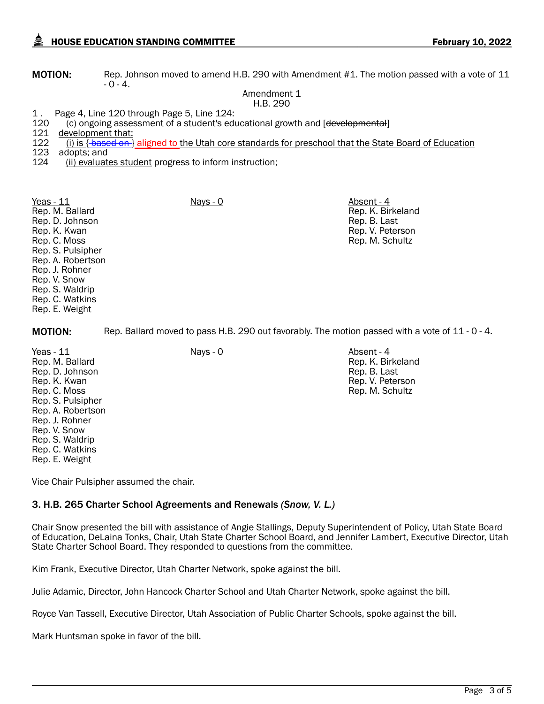**MOTION:** Rep. Johnson moved to amend H.B. 290 with Amendment #1. The motion passed with a vote of 11  $-0 - 4.$ 

> Amendment 1 H.B. 290

1. Page 4, Line 120 through Page 5, Line 124:<br>120 (c) ongoing assessment of a student's edi 120 (c) ongoing assessment of a student's educational growth and [<del>developmental</del>]<br>121 development that:

121 development that:<br>122 (i) is { <del>based on</del> } (i) is  $\{\text{-based on}\}$  aligned to the Utah core standards for preschool that the State Board of Education

123 adopts; and<br>124 (ii) evaluat

(ii) evaluates student progress to inform instruction;

Yeas - 11 Nays - 0 Nays - 0 Absent - 4 Rep. M. Ballard Rep. D. Johnson Rep. K. Kwan Rep. C. Moss Rep. S. Pulsipher Rep. A. Robertson Rep. J. Rohner Rep. V. Snow Rep. S. Waldrip Rep. C. Watkins Rep. E. Weight

MOTION: Rep. Ballard moved to pass H.B. 290 out favorably. The motion passed with a vote of 11 - 0 - 4.

Yeas - 11 Nays - 0 Nays - 0 Absent - 4 Rep. M. Ballard Rep. D. Johnson Rep. K. Kwan Rep. C. Moss Rep. S. Pulsipher Rep. A. Robertson Rep. J. Rohner Rep. V. Snow Rep. S. Waldrip Rep. C. Watkins Rep. E. Weight

Rep. K. Birkeland Rep. B. Last Rep. V. Peterson Rep. M. Schultz

Rep. K. Birkeland Rep. B. Last Rep. V. Peterson Rep. M. Schultz

Vice Chair Pulsipher assumed the chair.

# 3. H.B. 265 Charter School Agreements and Renewals *(Snow, V. L.)*

Chair Snow presented the bill with assistance of Angie Stallings, Deputy Superintendent of Policy, Utah State Board of Education, DeLaina Tonks, Chair, Utah State Charter School Board, and Jennifer Lambert, Executive Director, Utah State Charter School Board. They responded to questions from the committee.

Kim Frank, Executive Director, Utah Charter Network, spoke against the bill.

Julie Adamic, Director, John Hancock Charter School and Utah Charter Network, spoke against the bill.

Royce Van Tassell, Executive Director, Utah Association of Public Charter Schools, spoke against the bill.

Mark Huntsman spoke in favor of the bill.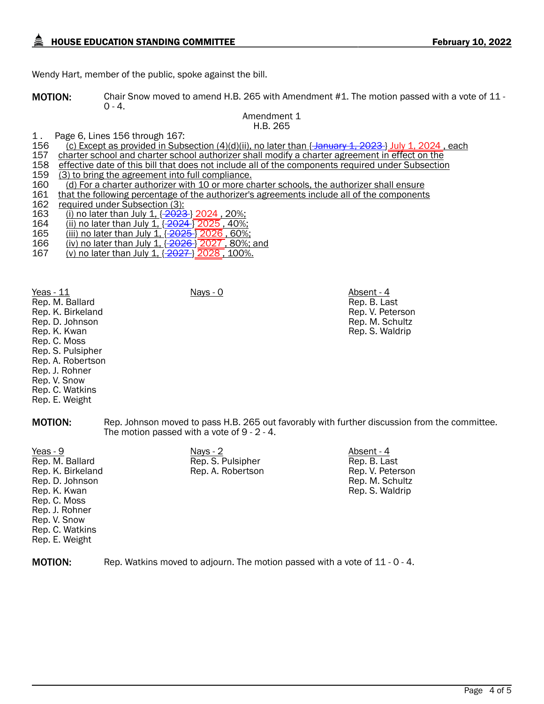Wendy Hart, member of the public, spoke against the bill.

MOTION: Chair Snow moved to amend H.B. 265 with Amendment #1. The motion passed with a vote of 11 - $0 - 4.$ 

Amendment 1 H.B. 265

1. Page 6, Lines 156 through 167:<br>156 (c) Except as provided in Subs

156 (c) Except as provided in Subsection (4)(d)(ii), no later than { January 1, 2023 } July 1, 2024, each 157<br>157 charter school and charter school authorizer shall modify a charter agreement in effect on the

- 157 charter school and charter school authorizer shall modify a charter agreement in effect on the 158 effective date of this bill that does not include all of the components required under Subsection
- 158 effective date of this bill that does not include all of the components required under Subsection 159 (3)
- 159 (3) to bring the agreement into full compliance.<br>160 (d) For a charter authorizer with 10 or more ch
- 160 (d) For a charter authorizer with 10 or more charter schools, the authorizer shall ensure<br>161 that the following percentage of the authorizer's agreements include all of the components
- 161 that the following percentage of the authorizer's agreements include all of the components 162 required under Subsection (3):

162 required under Subsection  $(3)$ :<br>163 (i) no later than July 1,  $\sqrt{2023}$ 

- 163 (i) no later than July 1,  $\frac{2023}{2024}$ , 20%;<br>164 (ii) no later than July 1,  $\frac{2024}{2025}$ , 40%;
- 164 (ii) no later than July 1,  $\frac{2024}{2025}$ , 40%;<br>165 (iii) no later than July 1,  $\frac{2025}{2026}$ , 60%
- 165 (iii) no later than July 1, { 2025 } 2026 , 60%;
- 165 (i<u>ll) no later than July 1, {2020 , 2020</u>, 30%;<br>166 (iv) no later than July 1, {<del>2026</del> } 2027 , 80%; and<br>167 (v) no later than July 1, {<del>2027 }</del> 2028 , 100%.
- (v) no later than July 1,  $\{2027\}$  2028, 100%.

Yeas - 11 Nays - 0 Nays - 0 Absent - 4 Rep. M. Ballard Rep. K. Birkeland Rep. D. Johnson Rep. K. Kwan Rep. C. Moss Rep. S. Pulsipher Rep. A. Robertson Rep. J. Rohner Rep. V. Snow Rep. C. Watkins Rep. E. Weight

Rep. B. Last Rep. V. Peterson Rep. M. Schultz Rep. S. Waldrip

MOTION: Rep. Johnson moved to pass H.B. 265 out favorably with further discussion from the committee. The motion passed with a vote of 9 - 2 - 4.

<u>Yeas - 9</u> Nays - 2 Nays - 2 Absent - 4 Absent - 4 Absent - 4 Absent - 4 Absent - 4 Absent - 4 Absent - 4 Absent - 4 Rep. M. Ballard Rep. K. Birkeland Rep. D. Johnson Rep. K. Kwan Rep. C. Moss Rep. J. Rohner Rep. V. Snow Rep. C. Watkins Rep. E. Weight

Rep. S. Pulsipher Rep. A. Robertson Rep. B. Last Rep. V. Peterson Rep. M. Schultz Rep. S. Waldrip

**MOTION:** Rep. Watkins moved to adjourn. The motion passed with a vote of 11 - 0 - 4.